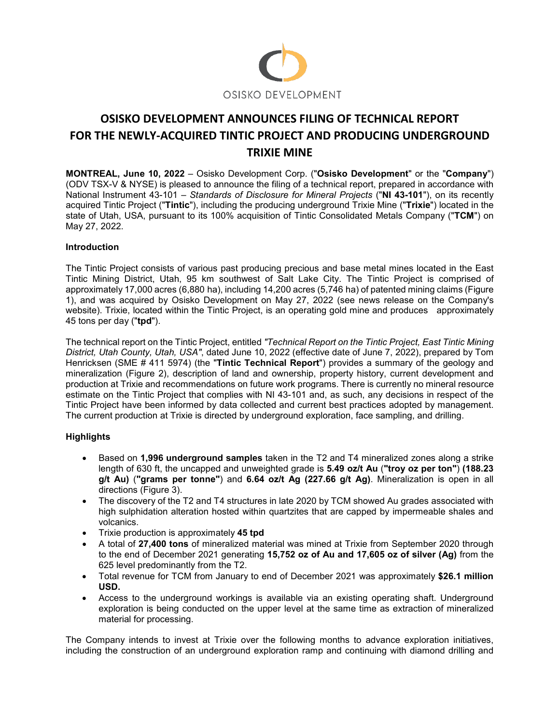

# **OSISKO DEVELOPMENT ANNOUNCES FILING OF TECHNICAL REPORT FOR THE NEWLY-ACQUIRED TINTIC PROJECT AND PRODUCING UNDERGROUND TRIXIE MINE**

**MONTREAL, June 10, 2022** – Osisko Development Corp. ("**Osisko Development**" or the "**Company**") (ODV TSX-V & NYSE) is pleased to announce the filing of a technical report, prepared in accordance with National Instrument 43-101 – *Standards of Disclosure for Mineral Projects* ("**NI 43-101**"), on its recently acquired Tintic Project ("**Tintic**"), including the producing underground Trixie Mine ("**Trixie**") located in the state of Utah, USA, pursuant to its 100% acquisition of Tintic Consolidated Metals Company ("**TCM**") on May 27, 2022.

## **Introduction**

The Tintic Project consists of various past producing precious and base metal mines located in the East Tintic Mining District, Utah, 95 km southwest of Salt Lake City. The Tintic Project is comprised of approximately 17,000 acres (6,880 ha), including 14,200 acres (5,746 ha) of patented mining claims (Figure 1), and was acquired by Osisko Development on May 27, 2022 (see news release on the Company's website). Trixie, located within the Tintic Project, is an operating gold mine and produces approximately 45 tons per day ("**tpd**").

The technical report on the Tintic Project, entitled *"Technical Report on the Tintic Project, East Tintic Mining District, Utah County, Utah, USA"*, dated June 10, 2022 (effective date of June 7, 2022), prepared by Tom Henricksen (SME # 411 5974) (the "**Tintic Technical Report**") provides a summary of the geology and mineralization (Figure 2), description of land and ownership, property history, current development and production at Trixie and recommendations on future work programs. There is currently no mineral resource estimate on the Tintic Project that complies with NI 43-101 and, as such, any decisions in respect of the Tintic Project have been informed by data collected and current best practices adopted by management. The current production at Trixie is directed by underground exploration, face sampling, and drilling.

## **Highlights**

- Based on **1,996 underground samples** taken in the T2 and T4 mineralized zones along a strike length of 630 ft, the uncapped and unweighted grade is **5.49 oz/t Au** (**"troy oz per ton"**) **(188.23 g/t Au)** (**"grams per tonne"**) and **6.64 oz/t Ag (227.66 g/t Ag)**. Mineralization is open in all directions (Figure 3).
- The discovery of the T2 and T4 structures in late 2020 by TCM showed Au grades associated with high sulphidation alteration hosted within quartzites that are capped by impermeable shales and volcanics.
- Trixie production is approximately **45 tpd**
- A total of **27,400 tons** of mineralized material was mined at Trixie from September 2020 through to the end of December 2021 generating **15,752 oz of Au and 17,605 oz of silver (Ag)** from the 625 level predominantly from the T2.
- Total revenue for TCM from January to end of December 2021 was approximately **\$26.1 million USD.**
- Access to the underground workings is available via an existing operating shaft. Underground exploration is being conducted on the upper level at the same time as extraction of mineralized material for processing.

The Company intends to invest at Trixie over the following months to advance exploration initiatives, including the construction of an underground exploration ramp and continuing with diamond drilling and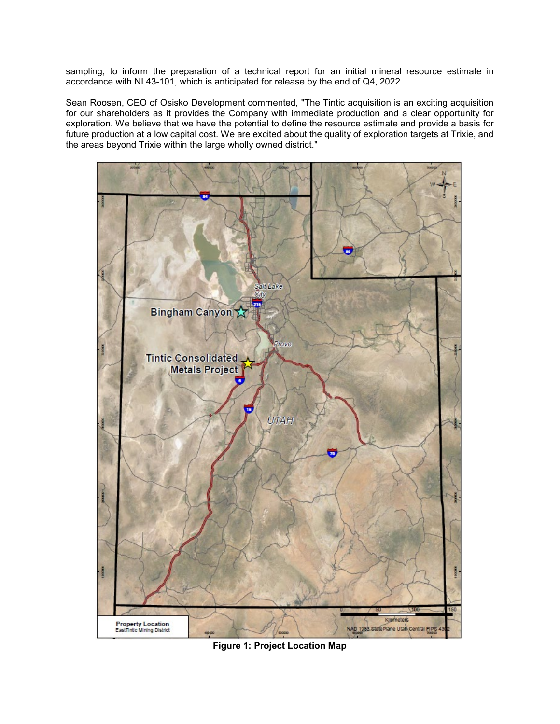sampling, to inform the preparation of a technical report for an initial mineral resource estimate in accordance with NI 43-101, which is anticipated for release by the end of Q4, 2022.

Sean Roosen, CEO of Osisko Development commented, "The Tintic acquisition is an exciting acquisition for our shareholders as it provides the Company with immediate production and a clear opportunity for exploration. We believe that we have the potential to define the resource estimate and provide a basis for future production at a low capital cost. We are excited about the quality of exploration targets at Trixie, and the areas beyond Trixie within the large wholly owned district."



**Figure 1: Project Location Map**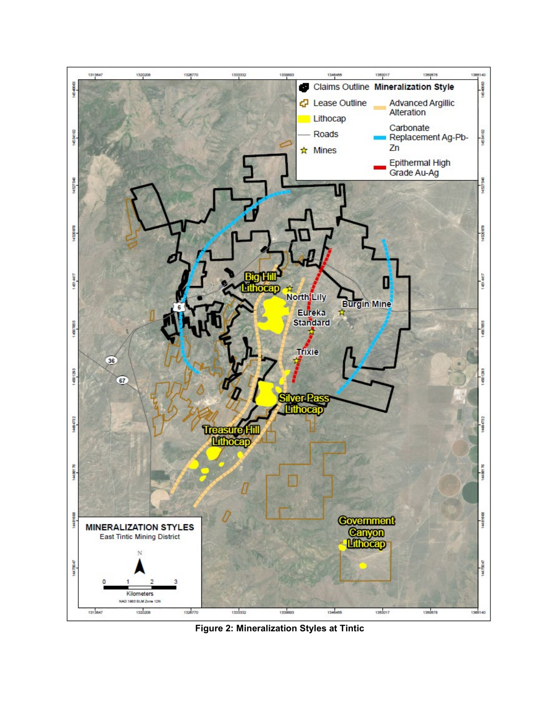

**Figure 2: Mineralization Styles at Tintic**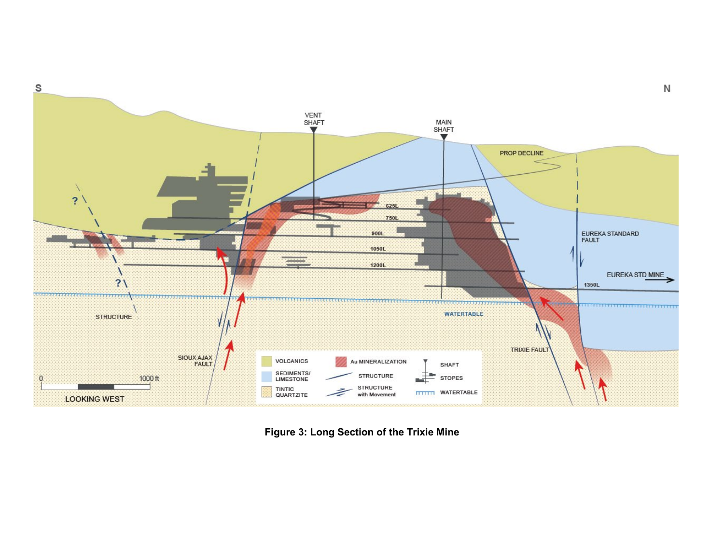

**Figure 3: Long Section of the Trixie Mine**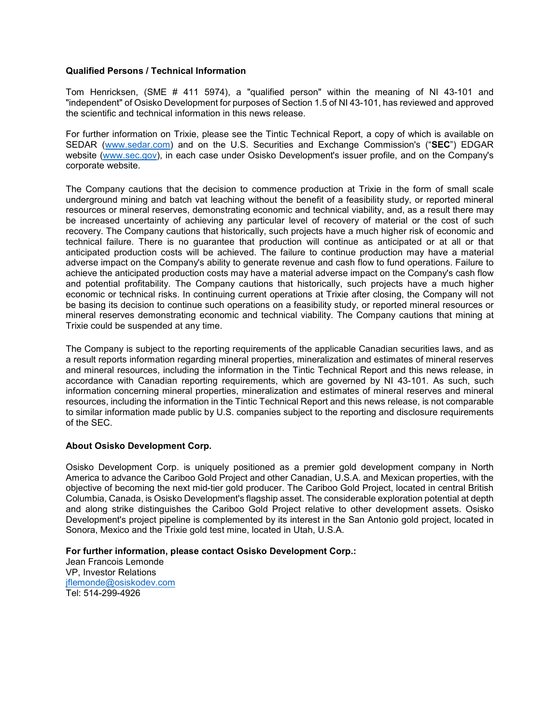### **Qualified Persons / Technical Information**

Tom Henricksen, (SME # 411 5974), a "qualified person" within the meaning of NI 43-101 and "independent" of Osisko Development for purposes of Section 1.5 of NI 43-101, has reviewed and approved the scientific and technical information in this news release.

For further information on Trixie, please see the Tintic Technical Report, a copy of which is available on SEDAR [\(www.sedar.com\)](http://www.sedar.com/) and on the U.S. Securities and Exchange Commission's ("**SEC**") EDGAR website [\(www.sec.gov\)](http://www.sec.gov/), in each case under Osisko Development's issuer profile, and on the Company's corporate website.

The Company cautions that the decision to commence production at Trixie in the form of small scale underground mining and batch vat leaching without the benefit of a feasibility study, or reported mineral resources or mineral reserves, demonstrating economic and technical viability, and, as a result there may be increased uncertainty of achieving any particular level of recovery of material or the cost of such recovery. The Company cautions that historically, such projects have a much higher risk of economic and technical failure. There is no guarantee that production will continue as anticipated or at all or that anticipated production costs will be achieved. The failure to continue production may have a material adverse impact on the Company's ability to generate revenue and cash flow to fund operations. Failure to achieve the anticipated production costs may have a material adverse impact on the Company's cash flow and potential profitability. The Company cautions that historically, such projects have a much higher economic or technical risks. In continuing current operations at Trixie after closing, the Company will not be basing its decision to continue such operations on a feasibility study, or reported mineral resources or mineral reserves demonstrating economic and technical viability. The Company cautions that mining at Trixie could be suspended at any time.

The Company is subject to the reporting requirements of the applicable Canadian securities laws, and as a result reports information regarding mineral properties, mineralization and estimates of mineral reserves and mineral resources, including the information in the Tintic Technical Report and this news release, in accordance with Canadian reporting requirements, which are governed by NI 43-101. As such, such information concerning mineral properties, mineralization and estimates of mineral reserves and mineral resources, including the information in the Tintic Technical Report and this news release, is not comparable to similar information made public by U.S. companies subject to the reporting and disclosure requirements of the SEC.

#### **About Osisko Development Corp.**

Osisko Development Corp. is uniquely positioned as a premier gold development company in North America to advance the Cariboo Gold Project and other Canadian, U.S.A. and Mexican properties, with the objective of becoming the next mid-tier gold producer. The Cariboo Gold Project, located in central British Columbia, Canada, is Osisko Development's flagship asset. The considerable exploration potential at depth and along strike distinguishes the Cariboo Gold Project relative to other development assets. Osisko Development's project pipeline is complemented by its interest in the San Antonio gold project, located in Sonora, Mexico and the Trixie gold test mine, located in Utah, U.S.A.

**For further information, please contact Osisko Development Corp.:** 

Jean Francois Lemonde VP, Investor Relations [jflemonde@osiskodev.com](mailto:jflemonde@osiskodev.com)  Tel: 514-299-4926